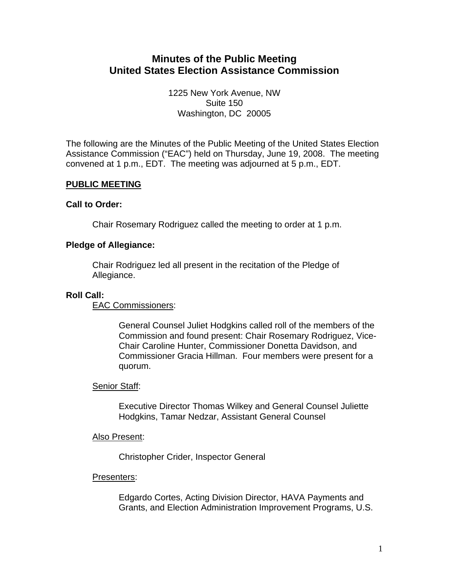# **Minutes of the Public Meeting United States Election Assistance Commission**

1225 New York Avenue, NW Suite 150 Washington, DC 20005

The following are the Minutes of the Public Meeting of the United States Election Assistance Commission ("EAC") held on Thursday, June 19, 2008. The meeting convened at 1 p.m., EDT. The meeting was adjourned at 5 p.m., EDT.

# **PUBLIC MEETING**

# **Call to Order:**

Chair Rosemary Rodriguez called the meeting to order at 1 p.m.

# **Pledge of Allegiance:**

Chair Rodriguez led all present in the recitation of the Pledge of Allegiance.

# **Roll Call:**

EAC Commissioners:

General Counsel Juliet Hodgkins called roll of the members of the Commission and found present: Chair Rosemary Rodriguez, Vice-Chair Caroline Hunter, Commissioner Donetta Davidson, and Commissioner Gracia Hillman. Four members were present for a quorum.

# Senior Staff:

Executive Director Thomas Wilkey and General Counsel Juliette Hodgkins, Tamar Nedzar, Assistant General Counsel

### Also Present:

Christopher Crider, Inspector General

# Presenters:

Edgardo Cortes, Acting Division Director, HAVA Payments and Grants, and Election Administration Improvement Programs, U.S.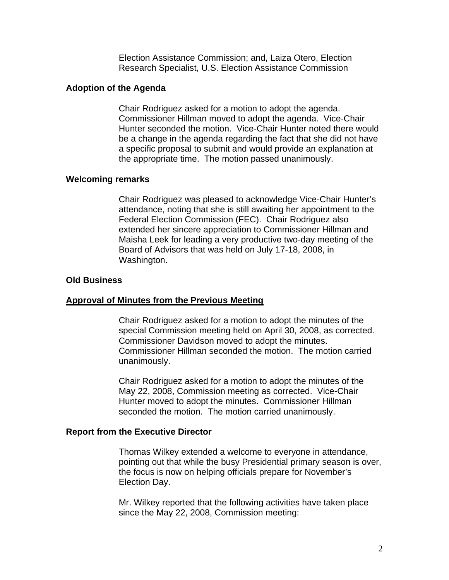Election Assistance Commission; and, Laiza Otero, Election Research Specialist, U.S. Election Assistance Commission

#### **Adoption of the Agenda**

Chair Rodriguez asked for a motion to adopt the agenda. Commissioner Hillman moved to adopt the agenda. Vice-Chair Hunter seconded the motion. Vice-Chair Hunter noted there would be a change in the agenda regarding the fact that she did not have a specific proposal to submit and would provide an explanation at the appropriate time. The motion passed unanimously.

#### **Welcoming remarks**

Chair Rodriguez was pleased to acknowledge Vice-Chair Hunter's attendance, noting that she is still awaiting her appointment to the Federal Election Commission (FEC). Chair Rodriguez also extended her sincere appreciation to Commissioner Hillman and Maisha Leek for leading a very productive two-day meeting of the Board of Advisors that was held on July 17-18, 2008, in Washington.

#### **Old Business**

#### **Approval of Minutes from the Previous Meeting**

Chair Rodriguez asked for a motion to adopt the minutes of the special Commission meeting held on April 30, 2008, as corrected. Commissioner Davidson moved to adopt the minutes. Commissioner Hillman seconded the motion. The motion carried unanimously.

Chair Rodriguez asked for a motion to adopt the minutes of the May 22, 2008, Commission meeting as corrected. Vice-Chair Hunter moved to adopt the minutes. Commissioner Hillman seconded the motion. The motion carried unanimously.

### **Report from the Executive Director**

Thomas Wilkey extended a welcome to everyone in attendance, pointing out that while the busy Presidential primary season is over, the focus is now on helping officials prepare for November's Election Day.

Mr. Wilkey reported that the following activities have taken place since the May 22, 2008, Commission meeting: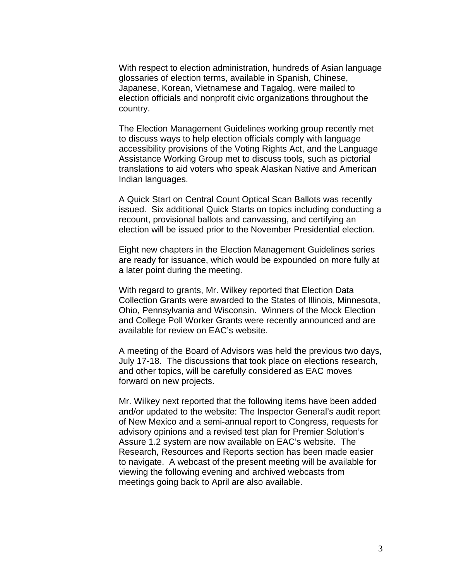With respect to election administration, hundreds of Asian language glossaries of election terms, available in Spanish, Chinese, Japanese, Korean, Vietnamese and Tagalog, were mailed to election officials and nonprofit civic organizations throughout the country.

The Election Management Guidelines working group recently met to discuss ways to help election officials comply with language accessibility provisions of the Voting Rights Act, and the Language Assistance Working Group met to discuss tools, such as pictorial translations to aid voters who speak Alaskan Native and American Indian languages.

A Quick Start on Central Count Optical Scan Ballots was recently issued. Six additional Quick Starts on topics including conducting a recount, provisional ballots and canvassing, and certifying an election will be issued prior to the November Presidential election.

Eight new chapters in the Election Management Guidelines series are ready for issuance, which would be expounded on more fully at a later point during the meeting.

With regard to grants, Mr. Wilkey reported that Election Data Collection Grants were awarded to the States of Illinois, Minnesota, Ohio, Pennsylvania and Wisconsin. Winners of the Mock Election and College Poll Worker Grants were recently announced and are available for review on EAC's website.

A meeting of the Board of Advisors was held the previous two days, July 17-18. The discussions that took place on elections research, and other topics, will be carefully considered as EAC moves forward on new projects.

Mr. Wilkey next reported that the following items have been added and/or updated to the website: The Inspector General's audit report of New Mexico and a semi-annual report to Congress, requests for advisory opinions and a revised test plan for Premier Solution's Assure 1.2 system are now available on EAC's website. The Research, Resources and Reports section has been made easier to navigate. A webcast of the present meeting will be available for viewing the following evening and archived webcasts from meetings going back to April are also available.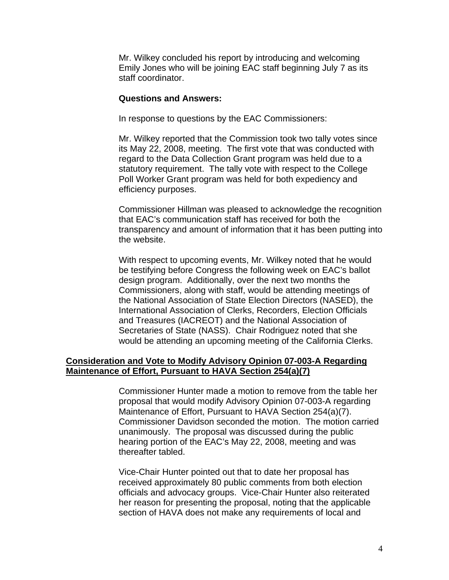Mr. Wilkey concluded his report by introducing and welcoming Emily Jones who will be joining EAC staff beginning July 7 as its staff coordinator.

### **Questions and Answers:**

In response to questions by the EAC Commissioners:

Mr. Wilkey reported that the Commission took two tally votes since its May 22, 2008, meeting. The first vote that was conducted with regard to the Data Collection Grant program was held due to a statutory requirement. The tally vote with respect to the College Poll Worker Grant program was held for both expediency and efficiency purposes.

Commissioner Hillman was pleased to acknowledge the recognition that EAC's communication staff has received for both the transparency and amount of information that it has been putting into the website.

With respect to upcoming events, Mr. Wilkey noted that he would be testifying before Congress the following week on EAC's ballot design program. Additionally, over the next two months the Commissioners, along with staff, would be attending meetings of the National Association of State Election Directors (NASED), the International Association of Clerks, Recorders, Election Officials and Treasures (IACREOT) and the National Association of Secretaries of State (NASS). Chair Rodriguez noted that she would be attending an upcoming meeting of the California Clerks.

# **Consideration and Vote to Modify Advisory Opinion 07-003-A Regarding Maintenance of Effort, Pursuant to HAVA Section 254(a)(7)**

Commissioner Hunter made a motion to remove from the table her proposal that would modify Advisory Opinion 07-003-A regarding Maintenance of Effort, Pursuant to HAVA Section 254(a)(7). Commissioner Davidson seconded the motion. The motion carried unanimously. The proposal was discussed during the public hearing portion of the EAC's May 22, 2008, meeting and was thereafter tabled.

Vice-Chair Hunter pointed out that to date her proposal has received approximately 80 public comments from both election officials and advocacy groups. Vice-Chair Hunter also reiterated her reason for presenting the proposal, noting that the applicable section of HAVA does not make any requirements of local and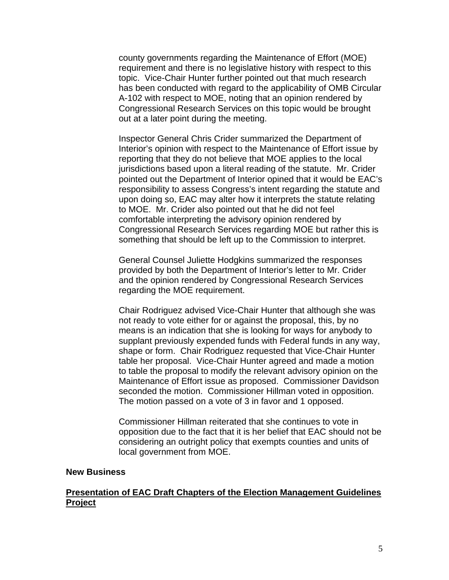county governments regarding the Maintenance of Effort (MOE) requirement and there is no legislative history with respect to this topic. Vice-Chair Hunter further pointed out that much research has been conducted with regard to the applicability of OMB Circular A-102 with respect to MOE, noting that an opinion rendered by Congressional Research Services on this topic would be brought out at a later point during the meeting.

Inspector General Chris Crider summarized the Department of Interior's opinion with respect to the Maintenance of Effort issue by reporting that they do not believe that MOE applies to the local jurisdictions based upon a literal reading of the statute. Mr. Crider pointed out the Department of Interior opined that it would be EAC's responsibility to assess Congress's intent regarding the statute and upon doing so, EAC may alter how it interprets the statute relating to MOE. Mr. Crider also pointed out that he did not feel comfortable interpreting the advisory opinion rendered by Congressional Research Services regarding MOE but rather this is something that should be left up to the Commission to interpret.

General Counsel Juliette Hodgkins summarized the responses provided by both the Department of Interior's letter to Mr. Crider and the opinion rendered by Congressional Research Services regarding the MOE requirement.

Chair Rodriguez advised Vice-Chair Hunter that although she was not ready to vote either for or against the proposal, this, by no means is an indication that she is looking for ways for anybody to supplant previously expended funds with Federal funds in any way, shape or form. Chair Rodriguez requested that Vice-Chair Hunter table her proposal. Vice-Chair Hunter agreed and made a motion to table the proposal to modify the relevant advisory opinion on the Maintenance of Effort issue as proposed. Commissioner Davidson seconded the motion. Commissioner Hillman voted in opposition. The motion passed on a vote of 3 in favor and 1 opposed.

Commissioner Hillman reiterated that she continues to vote in opposition due to the fact that it is her belief that EAC should not be considering an outright policy that exempts counties and units of local government from MOE.

#### **New Business**

# **Presentation of EAC Draft Chapters of the Election Management Guidelines Project**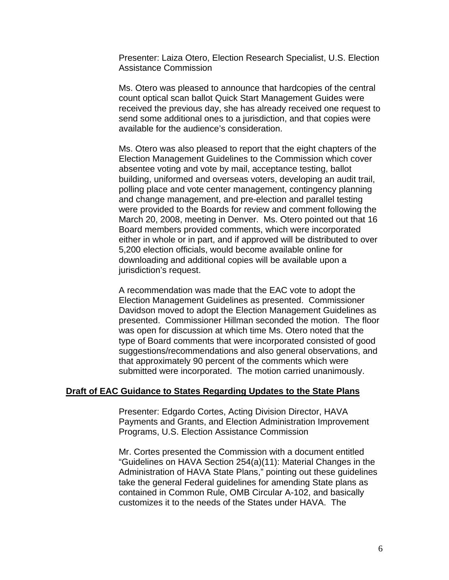Presenter: Laiza Otero, Election Research Specialist, U.S. Election Assistance Commission

Ms. Otero was pleased to announce that hardcopies of the central count optical scan ballot Quick Start Management Guides were received the previous day, she has already received one request to send some additional ones to a jurisdiction, and that copies were available for the audience's consideration.

Ms. Otero was also pleased to report that the eight chapters of the Election Management Guidelines to the Commission which cover absentee voting and vote by mail, acceptance testing, ballot building, uniformed and overseas voters, developing an audit trail, polling place and vote center management, contingency planning and change management, and pre-election and parallel testing were provided to the Boards for review and comment following the March 20, 2008, meeting in Denver. Ms. Otero pointed out that 16 Board members provided comments, which were incorporated either in whole or in part, and if approved will be distributed to over 5,200 election officials, would become available online for downloading and additional copies will be available upon a jurisdiction's request.

A recommendation was made that the EAC vote to adopt the Election Management Guidelines as presented. Commissioner Davidson moved to adopt the Election Management Guidelines as presented. Commissioner Hillman seconded the motion. The floor was open for discussion at which time Ms. Otero noted that the type of Board comments that were incorporated consisted of good suggestions/recommendations and also general observations, and that approximately 90 percent of the comments which were submitted were incorporated. The motion carried unanimously.

### **Draft of EAC Guidance to States Regarding Updates to the State Plans**

Presenter: Edgardo Cortes, Acting Division Director, HAVA Payments and Grants, and Election Administration Improvement Programs, U.S. Election Assistance Commission

Mr. Cortes presented the Commission with a document entitled "Guidelines on HAVA Section 254(a)(11): Material Changes in the Administration of HAVA State Plans," pointing out these guidelines take the general Federal guidelines for amending State plans as contained in Common Rule, OMB Circular A-102, and basically customizes it to the needs of the States under HAVA. The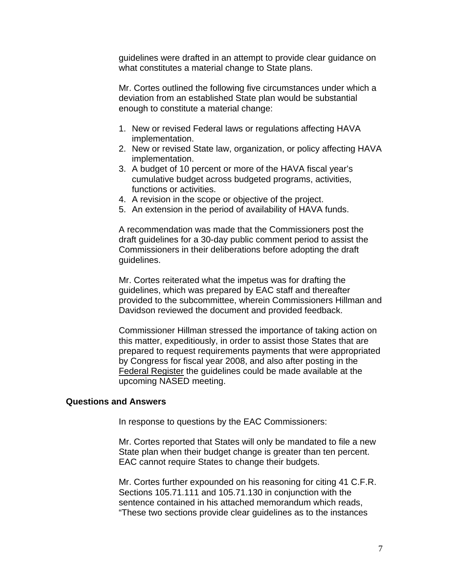guidelines were drafted in an attempt to provide clear guidance on what constitutes a material change to State plans.

Mr. Cortes outlined the following five circumstances under which a deviation from an established State plan would be substantial enough to constitute a material change:

- 1. New or revised Federal laws or regulations affecting HAVA implementation.
- 2. New or revised State law, organization, or policy affecting HAVA implementation.
- 3. A budget of 10 percent or more of the HAVA fiscal year's cumulative budget across budgeted programs, activities, functions or activities.
- 4. A revision in the scope or objective of the project.
- 5. An extension in the period of availability of HAVA funds.

A recommendation was made that the Commissioners post the draft guidelines for a 30-day public comment period to assist the Commissioners in their deliberations before adopting the draft guidelines.

Mr. Cortes reiterated what the impetus was for drafting the guidelines, which was prepared by EAC staff and thereafter provided to the subcommittee, wherein Commissioners Hillman and Davidson reviewed the document and provided feedback.

Commissioner Hillman stressed the importance of taking action on this matter, expeditiously, in order to assist those States that are prepared to request requirements payments that were appropriated by Congress for fiscal year 2008, and also after posting in the Federal Register the guidelines could be made available at the upcoming NASED meeting.

### **Questions and Answers**

In response to questions by the EAC Commissioners:

Mr. Cortes reported that States will only be mandated to file a new State plan when their budget change is greater than ten percent. EAC cannot require States to change their budgets.

Mr. Cortes further expounded on his reasoning for citing 41 C.F.R. Sections 105.71.111 and 105.71.130 in conjunction with the sentence contained in his attached memorandum which reads, "These two sections provide clear guidelines as to the instances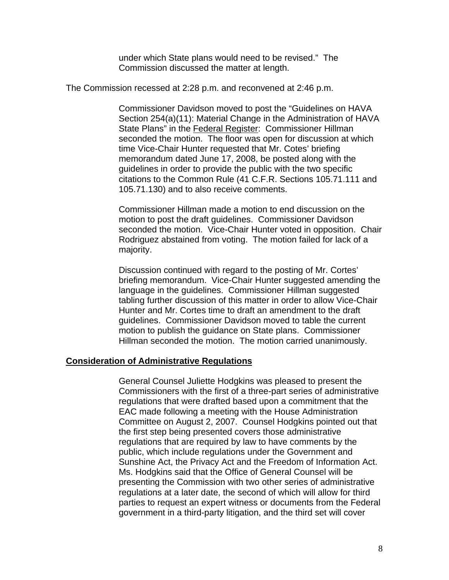under which State plans would need to be revised." The Commission discussed the matter at length.

The Commission recessed at 2:28 p.m. and reconvened at 2:46 p.m.

Commissioner Davidson moved to post the "Guidelines on HAVA Section 254(a)(11): Material Change in the Administration of HAVA State Plans" in the Federal Register: Commissioner Hillman seconded the motion. The floor was open for discussion at which time Vice-Chair Hunter requested that Mr. Cotes' briefing memorandum dated June 17, 2008, be posted along with the guidelines in order to provide the public with the two specific citations to the Common Rule (41 C.F.R. Sections 105.71.111 and 105.71.130) and to also receive comments.

Commissioner Hillman made a motion to end discussion on the motion to post the draft guidelines. Commissioner Davidson seconded the motion. Vice-Chair Hunter voted in opposition. Chair Rodriguez abstained from voting. The motion failed for lack of a majority.

Discussion continued with regard to the posting of Mr. Cortes' briefing memorandum. Vice-Chair Hunter suggested amending the language in the guidelines. Commissioner Hillman suggested tabling further discussion of this matter in order to allow Vice-Chair Hunter and Mr. Cortes time to draft an amendment to the draft guidelines. Commissioner Davidson moved to table the current motion to publish the guidance on State plans. Commissioner Hillman seconded the motion. The motion carried unanimously.

### **Consideration of Administrative Regulations**

General Counsel Juliette Hodgkins was pleased to present the Commissioners with the first of a three-part series of administrative regulations that were drafted based upon a commitment that the EAC made following a meeting with the House Administration Committee on August 2, 2007. Counsel Hodgkins pointed out that the first step being presented covers those administrative regulations that are required by law to have comments by the public, which include regulations under the Government and Sunshine Act, the Privacy Act and the Freedom of Information Act. Ms. Hodgkins said that the Office of General Counsel will be presenting the Commission with two other series of administrative regulations at a later date, the second of which will allow for third parties to request an expert witness or documents from the Federal government in a third-party litigation, and the third set will cover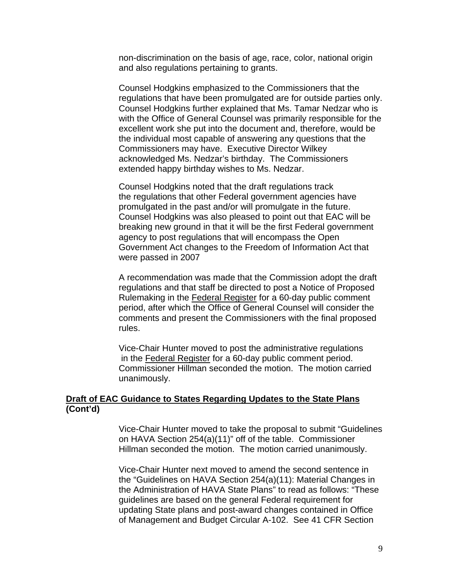non-discrimination on the basis of age, race, color, national origin and also regulations pertaining to grants.

Counsel Hodgkins emphasized to the Commissioners that the regulations that have been promulgated are for outside parties only. Counsel Hodgkins further explained that Ms. Tamar Nedzar who is with the Office of General Counsel was primarily responsible for the excellent work she put into the document and, therefore, would be the individual most capable of answering any questions that the Commissioners may have. Executive Director Wilkey acknowledged Ms. Nedzar's birthday. The Commissioners extended happy birthday wishes to Ms. Nedzar.

Counsel Hodgkins noted that the draft regulations track the regulations that other Federal government agencies have promulgated in the past and/or will promulgate in the future. Counsel Hodgkins was also pleased to point out that EAC will be breaking new ground in that it will be the first Federal government agency to post regulations that will encompass the Open Government Act changes to the Freedom of Information Act that were passed in 2007

A recommendation was made that the Commission adopt the draft regulations and that staff be directed to post a Notice of Proposed Rulemaking in the Federal Register for a 60-day public comment period, after which the Office of General Counsel will consider the comments and present the Commissioners with the final proposed rules.

Vice-Chair Hunter moved to post the administrative regulations in the Federal Register for a 60-day public comment period. Commissioner Hillman seconded the motion. The motion carried unanimously.

### **Draft of EAC Guidance to States Regarding Updates to the State Plans (Cont'd)**

Vice-Chair Hunter moved to take the proposal to submit "Guidelines on HAVA Section 254(a)(11)" off of the table. Commissioner Hillman seconded the motion. The motion carried unanimously.

Vice-Chair Hunter next moved to amend the second sentence in the "Guidelines on HAVA Section 254(a)(11): Material Changes in the Administration of HAVA State Plans" to read as follows: "These guidelines are based on the general Federal requirement for updating State plans and post-award changes contained in Office of Management and Budget Circular A-102. See 41 CFR Section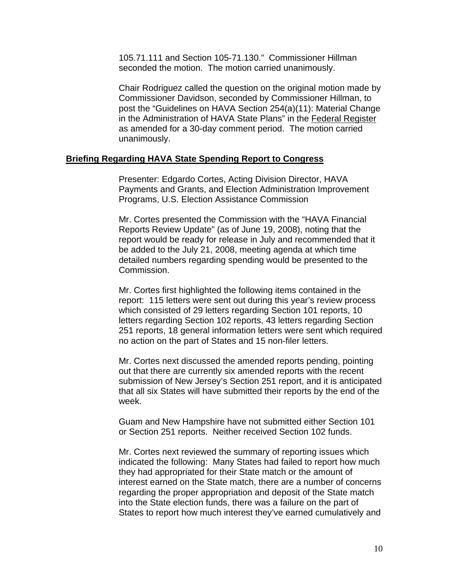105.71.111 and Section 105-71.130." Commissioner Hillman seconded the motion. The motion carried unanimously.

Chair Rodriguez called the question on the original motion made by Commissioner Davidson, seconded by Commissioner Hillman, to post the "Guidelines on HAVA Section 254(a)(11): Material Change in the Administration of HAVA State Plans" in the Federal Register as amended for a 30-day comment period. The motion carried unanimously.

#### **Briefing Regarding HAVA State Spending Report to Congress**

Presenter: Edgardo Cortes, Acting Division Director, HAVA Payments and Grants, and Election Administration Improvement Programs, U.S. Election Assistance Commission

Mr. Cortes presented the Commission with the "HAVA Financial Reports Review Update" (as of June 19, 2008), noting that the report would be ready for release in July and recommended that it be added to the July 21, 2008, meeting agenda at which time detailed numbers regarding spending would be presented to the Commission.

Mr. Cortes first highlighted the following items contained in the report: 115 letters were sent out during this year's review process which consisted of 29 letters regarding Section 101 reports, 10 letters regarding Section 102 reports, 43 letters regarding Section 251 reports, 18 general information letters were sent which required no action on the part of States and 15 non-filer letters.

Mr. Cortes next discussed the amended reports pending, pointing out that there are currently six amended reports with the recent submission of New Jersey's Section 251 report, and it is anticipated that all six States will have submitted their reports by the end of the week.

Guam and New Hampshire have not submitted either Section 101 or Section 251 reports. Neither received Section 102 funds.

Mr. Cortes next reviewed the summary of reporting issues which indicated the following: Many States had failed to report how much they had appropriated for their State match or the amount of interest earned on the State match, there are a number of concerns regarding the proper appropriation and deposit of the State match into the State election funds, there was a failure on the part of States to report how much interest they've earned cumulatively and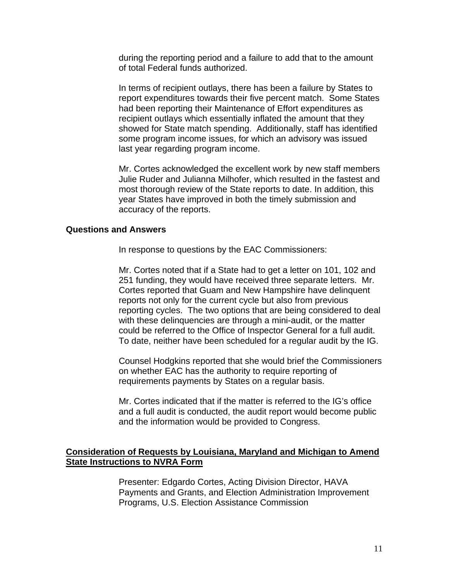during the reporting period and a failure to add that to the amount of total Federal funds authorized.

In terms of recipient outlays, there has been a failure by States to report expenditures towards their five percent match. Some States had been reporting their Maintenance of Effort expenditures as recipient outlays which essentially inflated the amount that they showed for State match spending. Additionally, staff has identified some program income issues, for which an advisory was issued last year regarding program income.

Mr. Cortes acknowledged the excellent work by new staff members Julie Ruder and Julianna Milhofer, which resulted in the fastest and most thorough review of the State reports to date. In addition, this year States have improved in both the timely submission and accuracy of the reports.

### **Questions and Answers**

In response to questions by the EAC Commissioners:

Mr. Cortes noted that if a State had to get a letter on 101, 102 and 251 funding, they would have received three separate letters. Mr. Cortes reported that Guam and New Hampshire have delinquent reports not only for the current cycle but also from previous reporting cycles. The two options that are being considered to deal with these delinquencies are through a mini-audit, or the matter could be referred to the Office of Inspector General for a full audit. To date, neither have been scheduled for a regular audit by the IG.

Counsel Hodgkins reported that she would brief the Commissioners on whether EAC has the authority to require reporting of requirements payments by States on a regular basis.

Mr. Cortes indicated that if the matter is referred to the IG's office and a full audit is conducted, the audit report would become public and the information would be provided to Congress.

# **Consideration of Requests by Louisiana, Maryland and Michigan to Amend State Instructions to NVRA Form**

Presenter: Edgardo Cortes, Acting Division Director, HAVA Payments and Grants, and Election Administration Improvement Programs, U.S. Election Assistance Commission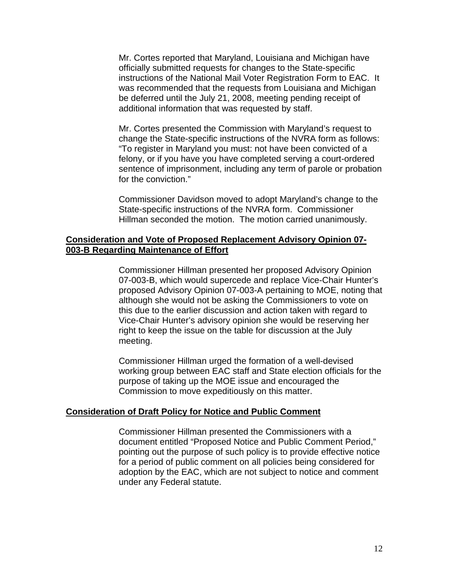Mr. Cortes reported that Maryland, Louisiana and Michigan have officially submitted requests for changes to the State-specific instructions of the National Mail Voter Registration Form to EAC. It was recommended that the requests from Louisiana and Michigan be deferred until the July 21, 2008, meeting pending receipt of additional information that was requested by staff.

Mr. Cortes presented the Commission with Maryland's request to change the State-specific instructions of the NVRA form as follows: "To register in Maryland you must: not have been convicted of a felony, or if you have you have completed serving a court-ordered sentence of imprisonment, including any term of parole or probation for the conviction."

Commissioner Davidson moved to adopt Maryland's change to the State-specific instructions of the NVRA form. Commissioner Hillman seconded the motion. The motion carried unanimously.

### **Consideration and Vote of Proposed Replacement Advisory Opinion 07- 003-B Regarding Maintenance of Effort**

 Commissioner Hillman presented her proposed Advisory Opinion 07-003-B, which would supercede and replace Vice-Chair Hunter's proposed Advisory Opinion 07-003-A pertaining to MOE, noting that although she would not be asking the Commissioners to vote on this due to the earlier discussion and action taken with regard to Vice-Chair Hunter's advisory opinion she would be reserving her right to keep the issue on the table for discussion at the July meeting.

Commissioner Hillman urged the formation of a well-devised working group between EAC staff and State election officials for the purpose of taking up the MOE issue and encouraged the Commission to move expeditiously on this matter.

### **Consideration of Draft Policy for Notice and Public Comment**

Commissioner Hillman presented the Commissioners with a document entitled "Proposed Notice and Public Comment Period," pointing out the purpose of such policy is to provide effective notice for a period of public comment on all policies being considered for adoption by the EAC, which are not subject to notice and comment under any Federal statute.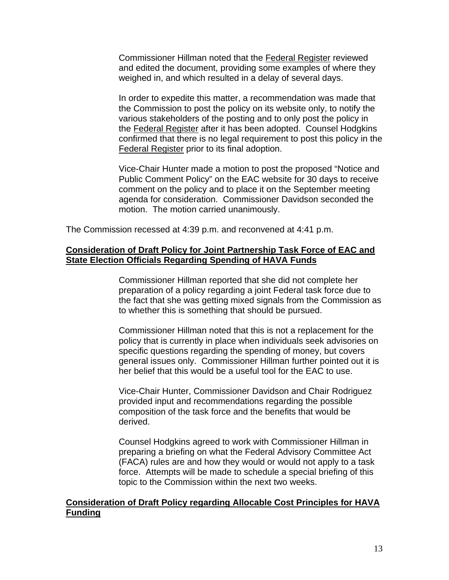Commissioner Hillman noted that the Federal Register reviewed and edited the document, providing some examples of where they weighed in, and which resulted in a delay of several days.

In order to expedite this matter, a recommendation was made that the Commission to post the policy on its website only, to notify the various stakeholders of the posting and to only post the policy in the Federal Register after it has been adopted. Counsel Hodgkins confirmed that there is no legal requirement to post this policy in the Federal Register prior to its final adoption.

Vice-Chair Hunter made a motion to post the proposed "Notice and Public Comment Policy" on the EAC website for 30 days to receive comment on the policy and to place it on the September meeting agenda for consideration. Commissioner Davidson seconded the motion. The motion carried unanimously.

The Commission recessed at 4:39 p.m. and reconvened at 4:41 p.m.

# **Consideration of Draft Policy for Joint Partnership Task Force of EAC and State Election Officials Regarding Spending of HAVA Funds**

Commissioner Hillman reported that she did not complete her preparation of a policy regarding a joint Federal task force due to the fact that she was getting mixed signals from the Commission as to whether this is something that should be pursued.

Commissioner Hillman noted that this is not a replacement for the policy that is currently in place when individuals seek advisories on specific questions regarding the spending of money, but covers general issues only. Commissioner Hillman further pointed out it is her belief that this would be a useful tool for the EAC to use.

Vice-Chair Hunter, Commissioner Davidson and Chair Rodriguez provided input and recommendations regarding the possible composition of the task force and the benefits that would be derived.

Counsel Hodgkins agreed to work with Commissioner Hillman in preparing a briefing on what the Federal Advisory Committee Act (FACA) rules are and how they would or would not apply to a task force. Attempts will be made to schedule a special briefing of this topic to the Commission within the next two weeks.

# **Consideration of Draft Policy regarding Allocable Cost Principles for HAVA Funding**